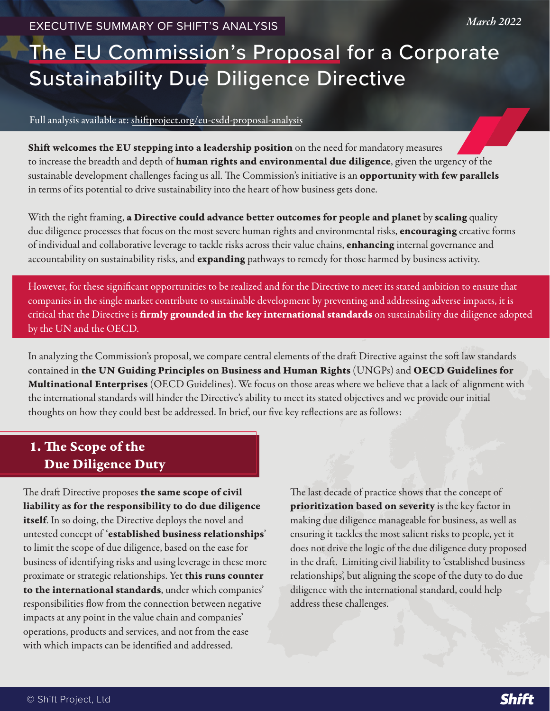# The EU Commission's Proposal for a Corporate Sustainability Due Diligence Directive

#### Full analysis available at: shiftproject.org/eu-csdd-proposal-analysis

Shift welcomes the EU stepping into a leadership position on the need for mandatory measures to increase the breadth and depth of **human rights and environmental due diligence**, given the urgency of the sustainable development challenges facing us all. The Commission's initiative is an **opportunity with few parallels** in terms of its potential to drive sustainability into the heart of how business gets done.

With the right framing, a Directive could advance better outcomes for people and planet by scaling quality due diligence processes that focus on the most severe human rights and environmental risks, **encouraging** creative forms of individual and collaborative leverage to tackle risks across their value chains, **enhancing** internal governance and accountability on sustainability risks, and expanding pathways to remedy for those harmed by business activity.

However, for these significant opportunities to be realized and for the Directive to meet its stated ambition to ensure that companies in the single market contribute to sustainable development by preventing and addressing adverse impacts, it is critical that the Directive is *firmly grounded in the key international standards* on sustainability due diligence adopted by the UN and the OECD.

In analyzing the Commission's proposal, we compare central elements of the draft Directive against the soft law standards contained in the UN Guiding Principles on Business and Human Rights (UNGPs) and OECD Guidelines for Multinational Enterprises (OECD Guidelines). We focus on those areas where we believe that a lack of alignment with the international standards will hinder the Directive's ability to meet its stated objectives and we provide our initial thoughts on how they could best be addressed. In brief, our five key reflections are as follows:

#### 1. The Scope of the Due Diligence Duty

The draft Directive proposes the same scope of civil liability as for the responsibility to do due diligence itself. In so doing, the Directive deploys the novel and untested concept of 'established business relationships' to limit the scope of due diligence, based on the ease for business of identifying risks and using leverage in these more proximate or strategic relationships. Yet this runs counter to the international standards, under which companies' responsibilities flow from the connection between negative impacts at any point in the value chain and companies' operations, products and services, and not from the ease with which impacts can be identified and addressed.

The last decade of practice shows that the concept of prioritization based on severity is the key factor in making due diligence manageable for business, as well as ensuring it tackles the most salient risks to people, yet it does not drive the logic of the due diligence duty proposed in the draft. Limiting civil liability to 'established business relationships', but aligning the scope of the duty to do due diligence with the international standard, could help address these challenges.